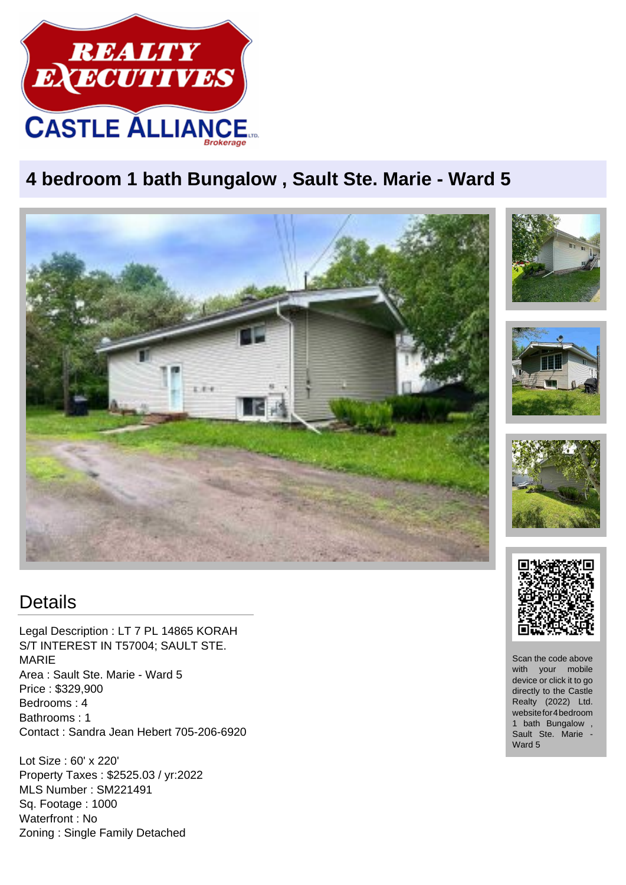

## **4 bedroom 1 bath Bungalow , Sault Ste. Marie - Ward 5**



## **Details**

Legal Description : LT 7 PL 14865 KORAH S/T INTEREST IN T57004; SAULT STE. MARIE Area : Sault Ste. Marie - Ward 5 Price : \$329,900 Bedrooms : 4 Bathrooms : 1 Contact : Sandra Jean Hebert 705-206-6920

Lot Size : 60' x 220' Property Taxes : \$2525.03 / yr:2022 MLS Number : SM221491 Sq. Footage : 1000 Waterfront : No Zoning : Single Family Detached



Scan the code above with your mobile device or click it to go directly to the Castle Realty (2022) Ltd. website for 4 bedroom 1 bath Bungalow , Sault Ste. Marie - Ward 5